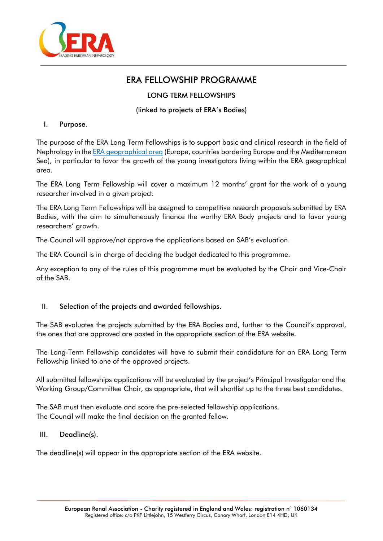

# ERA FELLOWSHIP PROGRAMME

# LONG TERM FELLOWSHIPS

# (linked to projects of ERA's Bodies)

#### I. Purpose.

The purpose of the ERA Long Term Fellowships is to support basic and clinical research in the field of Nephrology in the [ERA geographical area](https://www.era-online.org/en/era-geographical-area/) (Europe, countries bordering Europe and the Mediterranean Sea), in particular to favor the growth of the young investigators living within the ERA geographical area.

The ERA Long Term Fellowship will cover a maximum 12 months' grant for the work of a young researcher involved in a given project.

The ERA Long Term Fellowships will be assigned to competitive research proposals submitted by ERA Bodies, with the aim to simultaneously finance the worthy ERA Body projects and to favor young researchers' growth.

The Council will approve/not approve the applications based on SAB's evaluation.

The ERA Council is in charge of deciding the budget dedicated to this programme.

Any exception to any of the rules of this programme must be evaluated by the Chair and Vice-Chair of the SAB.

# II. Selection of the projects and awarded fellowships.

The SAB evaluates the projects submitted by the ERA Bodies and, further to the Council's approval, the ones that are approved are posted in the appropriate section of the ERA website.

The Long-Term Fellowship candidates will have to submit their candidature for an ERA Long Term Fellowship linked to one of the approved projects.

All submitted fellowships applications will be evaluated by the project's Principal Investigator and the Working Group/Committee Chair, as appropriate, that will shortlist up to the three best candidates.

The SAB must then evaluate and score the pre-selected fellowship applications. The Council will make the final decision on the granted fellow.

# III. Deadline(s).

The deadline(s) will appear in the appropriate section of the ERA website.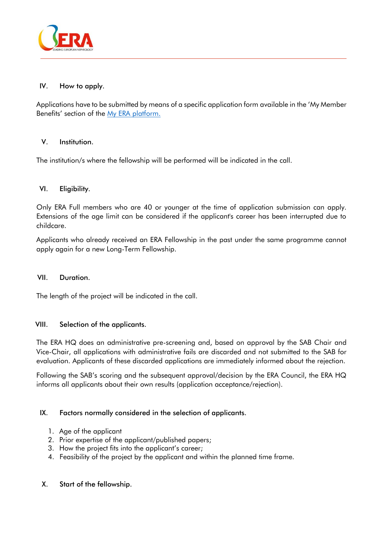

### IV. How to apply.

Applications have to be submitted by means of a specific application form available in the 'My Member Benefits' section of the My ERA [platform.](https://era-edtaid.m-anage.com/Account/Login?context=OAUTH&shortname=My%20ERA-EDTA&language=en-GB)

#### V. Institution.

The institution/s where the fellowship will be performed will be indicated in the call.

#### VI. Eligibility.

Only ERA Full members who are 40 or younger at the time of application submission can apply. Extensions of the age limit can be considered if the applicant's career has been interrupted due to childcare.

Applicants who already received an ERA Fellowship in the past under the same programme cannot apply again for a new Long-Term Fellowship.

#### VII. Duration.

The length of the project will be indicated in the call.

#### VIII. Selection of the applicants.

The ERA HQ does an administrative pre-screening and, based on approval by the SAB Chair and Vice-Chair, all applications with administrative fails are discarded and not submitted to the SAB for evaluation. Applicants of these discarded applications are immediately informed about the rejection.

Following the SAB's scoring and the subsequent approval/decision by the ERA Council, the ERA HQ informs all applicants about their own results (application acceptance/rejection).

#### IX. Factors normally considered in the selection of applicants.

- 1. Age of the applicant
- 2. Prior expertise of the applicant/published papers;
- 3. How the project fits into the applicant's career;
- 4. Feasibility of the project by the applicant and within the planned time frame.

#### X. Start of the fellowship.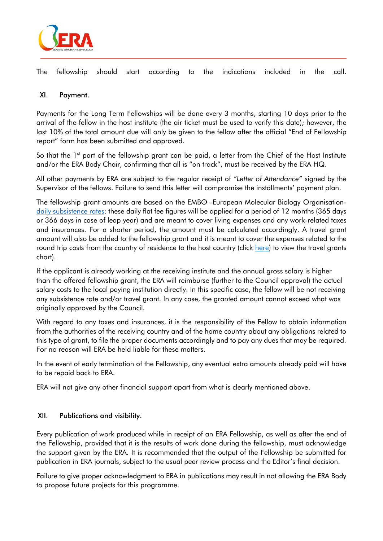

The fellowship should start according to the indications included in the call.

# XI. Payment.

Payments for the Long Term Fellowships will be done every 3 months, starting 10 days prior to the arrival of the fellow in the host institute (the air ticket must be used to verify this date); however, the last 10% of the total amount due will only be given to the fellow after the official "End of Fellowship report" form has been submitted and approved.

So that the  $1<sup>st</sup>$  part of the fellowship grant can be paid, a letter from the Chief of the Host Institute and/or the ERA Body Chair, confirming that all is "on track", must be received by the ERA HQ.

All other payments by ERA are subject to the regular receipt of *"Letter of Attendance"* signed by the Supervisor of the fellows. Failure to send this letter will compromise the installments' payment plan.

The fellowship grant amounts are based on the EMBO -European Molecular Biology Organisation[daily subsistence rates:](https://www.embo.org/documents/SEG/SEG_CFF_subsistence_rates.pdf) these daily flat fee figures will be applied for a period of 12 months (365 days or 366 days in case of leap year) and are meant to cover living expenses and any work-related taxes and insurances. For a shorter period, the amount must be calculated accordingly. A travel grant amount will also be added to the fellowship grant and it is meant to cover the expenses related to the round trip costs from the country of residence to the host country (click [here\)](https://www.era-online.org/en/wp-content/uploads/2021/09/Congress_Grant_Travel_Costs_Chart-01-09-2021.pdf) to view the travel grants chart).

If the applicant is already working at the receiving institute and the annual gross salary is higher than the offered fellowship grant, the ERA will reimburse (further to the Council approval) the actual salary costs to the local paying institution directly. In this specific case, the fellow will be not receiving any subsistence rate and/or travel grant. In any case, the granted amount cannot exceed what was originally approved by the Council.

With regard to any taxes and insurances, it is the responsibility of the Fellow to obtain information from the authorities of the receiving country and of the home country about any obligations related to this type of grant, to file the proper documents accordingly and to pay any dues that may be required. For no reason will ERA be held liable for these matters.

In the event of early termination of the Fellowship, any eventual extra amounts already paid will have to be repaid back to ERA.

ERA will not give any other financial support apart from what is clearly mentioned above.

#### XII. Publications and visibility.

Every publication of work produced while in receipt of an ERA Fellowship, as well as after the end of the Fellowship, provided that it is the results of work done during the fellowship, must acknowledge the support given by the ERA. It is recommended that the output of the Fellowship be submitted for publication in ERA journals, subject to the usual peer review process and the Editor's final decision.

Failure to give proper acknowledgment to ERA in publications may result in not allowing the ERA Body to propose future projects for this programme.